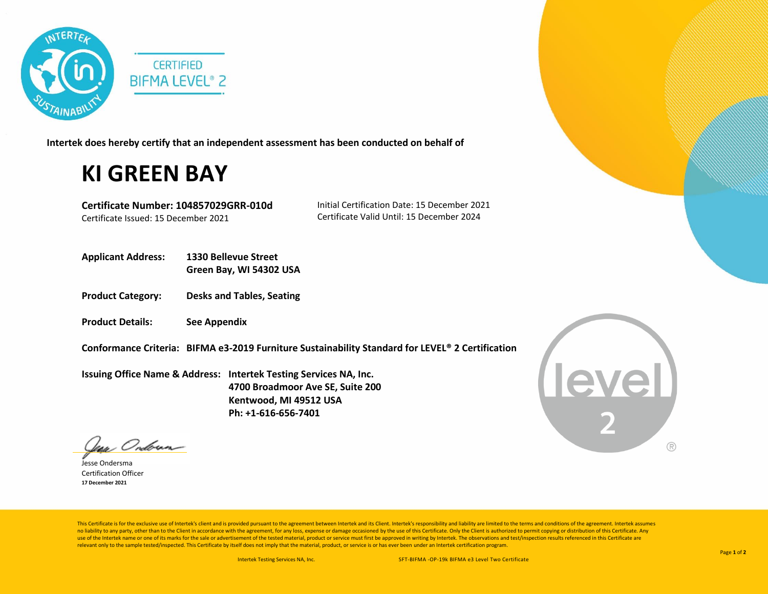

**Intertek does hereby certify that an independent assessment has been conducted on behalf of**

## **KI GREEN BAY**

**Certificate Number: 104857029GRR-010d** Certificate Issued: 15 December 2021

Initial Certification Date: 15 December 2021 Certificate Valid Until: 15 December 2024

- **Applicant Address: 1330 Bellevue Street Green Bay, WI 54302 USA**
- **Product Category: Desks and Tables, Seating**
- **Product Details: See Appendix**
- **Conformance Criteria: BIFMA e3-2019 Furniture Sustainability Standard for LEVEL® 2 Certification**

**Issuing Office Name & Address: Intertek Testing Services NA, Inc. 4700 Broadmoor Ave SE, Suite 200 Kentwood, MI 49512 USA Ph: +1-616-656-7401**

**Level**  $( R )$ 

Indirean-

Jesse Ondersma Certification Officer **17 December 2021**

This Certificate is for the exclusive use of Intertek's client and is provided pursuant to the agreement between Intertek and its Client. Intertek's responsibility and liability are limited to the terms and conditions of t no liability to any party, other than to the Client in accordance with the agreement, for any loss, expense or damage occasioned by the use of this Certificate. Only the Client is authorized to permit copying or distributi use of the Intertek name or one of its marks for the sale or advertisement of the tested material, product or service must first be approved in writing by Intertek. The observations and test/inspection results referenced i relevant only to the sample tested/inspected. This Certificate by itself does not imply that the material, product, or service is or has ever been under an Intertek certification program.